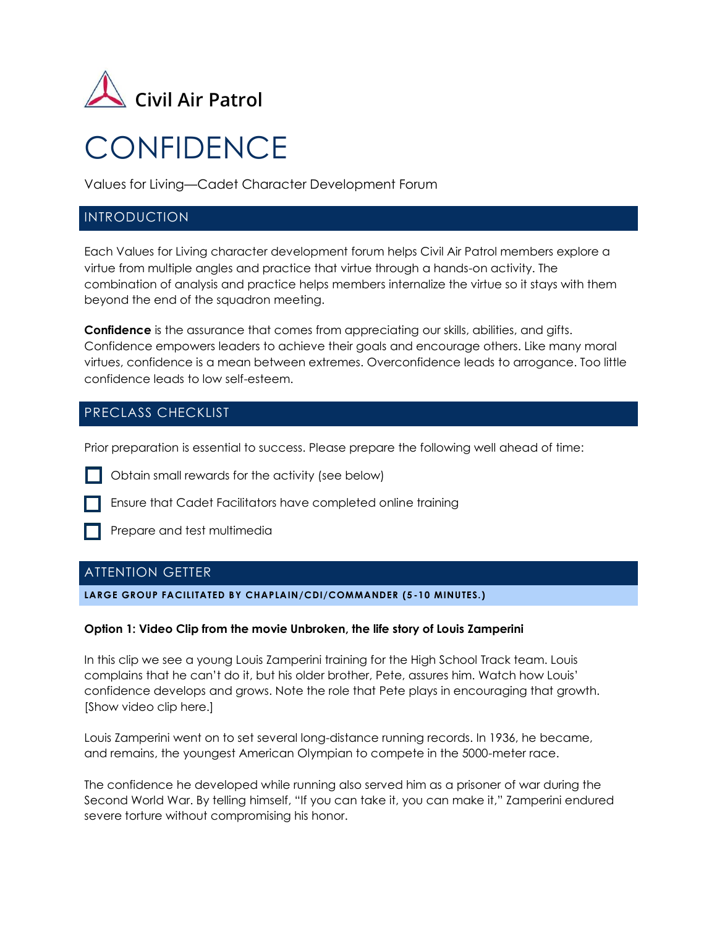

# **CONFIDENCE**

Values for Living—Cadet Character Development Forum

## INTRODUCTION

Each Values for Living character development forum helps Civil Air Patrol members explore a virtue from multiple angles and practice that virtue through a hands-on activity. The combination of analysis and practice helps members internalize the virtue so it stays with them beyond the end of the squadron meeting.

**Confidence** is the assurance that comes from appreciating our skills, abilities, and gifts. Confidence empowers leaders to achieve their goals and encourage others. Like many moral virtues, confidence is a mean between extremes. Overconfidence leads to arrogance. Too little confidence leads to low self-esteem.

# PRECLASS CHECKLIST

Prior preparation is essential to success. Please prepare the following well ahead of time:

- Obtain small rewards for the activity (see below)
	- Ensure that Cadet Facilitators have completed online training
- - Prepare and test multimedia

# ATTENTION GETTER

**LARGE GROUP FACILITATED BY CHAPLAIN/CDI/COMMANDER (5 -10 MINUTES.)**

#### **Option 1: Video Clip from the movie Unbroken, the life story of Louis Zamperini**

In this clip we see a young Louis Zamperini training for the High School Track team. Louis complains that he can't do it, but his older brother, Pete, assures him. Watch how Louis' confidence develops and grows. Note the role that Pete plays in encouraging that growth. [Show video clip here.]

Louis Zamperini went on to set several long-distance running records. In 1936, he became, and remains, the youngest American Olympian to compete in the 5000-meter race.

The confidence he developed while running also served him as a prisoner of war during the Second World War. By telling himself, "If you can take it, you can make it," Zamperini endured severe torture without compromising his honor.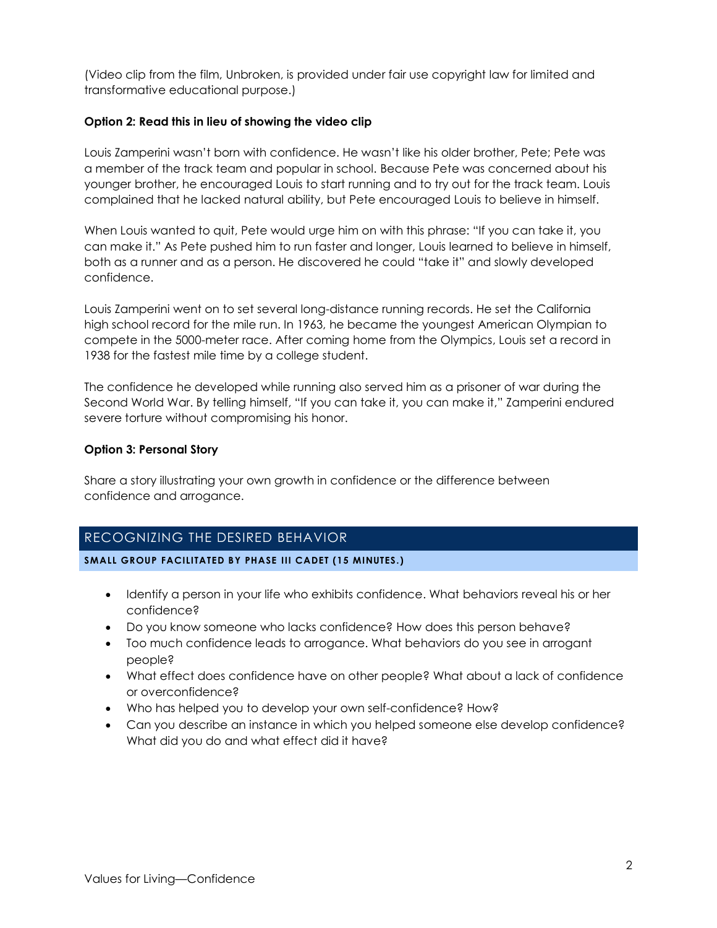(Video clip from the film, Unbroken, is provided under fair use copyright law for limited and transformative educational purpose.)

#### **Option 2: Read this in lieu of showing the video clip**

Louis Zamperini wasn't born with confidence. He wasn't like his older brother, Pete; Pete was a member of the track team and popular in school. Because Pete was concerned about his younger brother, he encouraged Louis to start running and to try out for the track team. Louis complained that he lacked natural ability, but Pete encouraged Louis to believe in himself.

When Louis wanted to quit, Pete would urge him on with this phrase: "If you can take it, you can make it." As Pete pushed him to run faster and longer, Louis learned to believe in himself, both as a runner and as a person. He discovered he could "take it" and slowly developed confidence.

Louis Zamperini went on to set several long-distance running records. He set the California high school record for the mile run. In 1963, he became the youngest American Olympian to compete in the 5000-meter race. After coming home from the Olympics, Louis set a record in 1938 for the fastest mile time by a college student.

The confidence he developed while running also served him as a prisoner of war during the Second World War. By telling himself, "If you can take it, you can make it," Zamperini endured severe torture without compromising his honor.

#### **Option 3: Personal Story**

Share a story illustrating your own growth in confidence or the difference between confidence and arrogance.

# RECOGNIZING THE DESIRED BEHAVIOR

**SMALL GROUP FACILITATED BY PHASE III CADET (15 MINUTES.)**

- Identify a person in your life who exhibits confidence. What behaviors reveal his or her confidence?
- Do you know someone who lacks confidence? How does this person behave?
- Too much confidence leads to arrogance. What behaviors do you see in arrogant people?
- What effect does confidence have on other people? What about a lack of confidence or overconfidence?
- Who has helped you to develop your own self-confidence? How?
- Can you describe an instance in which you helped someone else develop confidence? What did you do and what effect did it have?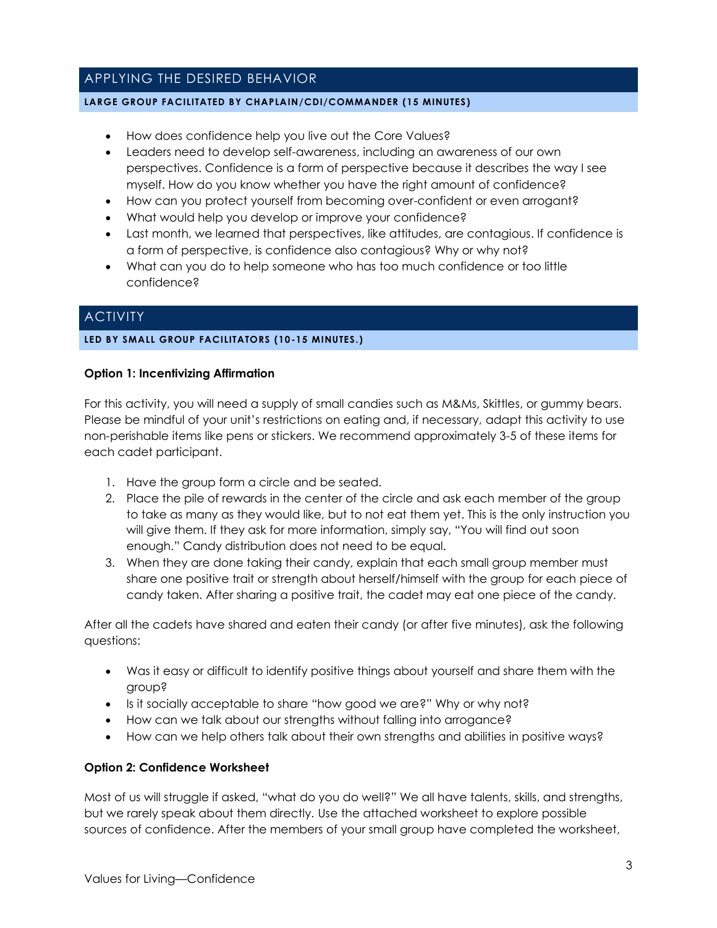# APPLYING THE DESIRED BEHAVIOR

#### **LARGE GROUP FACILITATED BY CHAPLAIN/CDI/COMMANDER (15 MINUTES)**

- How does confidence help you live out the Core Values?
- Leaders need to develop self-awareness, including an awareness of our own perspectives. Confidence is a form of perspective because it describes the way I see myself. How do you know whether you have the right amount of confidence?
- How can you protect yourself from becoming over-confident or even arrogant?
- What would help you develop or improve your confidence?
- Last month, we learned that perspectives, like attitudes, are contagious. If confidence is a form of perspective, is confidence also contagious? Why or why not?
- What can you do to help someone who has too much confidence or too little confidence?

## **ACTIVITY**

#### **LED BY SMALL GROUP FACILITATORS (10-15 MINUTES.)**

#### **Option 1: Incentivizing Affirmation**

For this activity, you will need a supply of small candies such as M&Ms, Skittles, or gummy bears. Please be mindful of your unit's restrictions on eating and, if necessary, adapt this activity to use non-perishable items like pens or stickers. We recommend approximately 3-5 of these items for each cadet participant.

- 1. Have the group form a circle and be seated.
- 2. Place the pile of rewards in the center of the circle and ask each member of the group to take as many as they would like, but to not eat them yet. This is the only instruction you will give them. If they ask for more information, simply say, "You will find out soon enough." Candy distribution does not need to be equal.
- 3. When they are done taking their candy, explain that each small group member must share one positive trait or strength about herself/himself with the group for each piece of candy taken. After sharing a positive trait, the cadet may eat one piece of the candy.

After all the cadets have shared and eaten their candy (or after five minutes), ask the following questions:

- Was it easy or difficult to identify positive things about yourself and share them with the group?
- Is it socially acceptable to share "how good we are?" Why or why not?
- How can we talk about our strengths without falling into arrogance?
- How can we help others talk about their own strengths and abilities in positive ways?

#### **Option 2: Confidence Worksheet**

Most of us will struggle if asked, "what do you do well?" We all have talents, skills, and strengths, but we rarely speak about them directly. Use the attached worksheet to explore possible sources of confidence. After the members of your small group have completed the worksheet,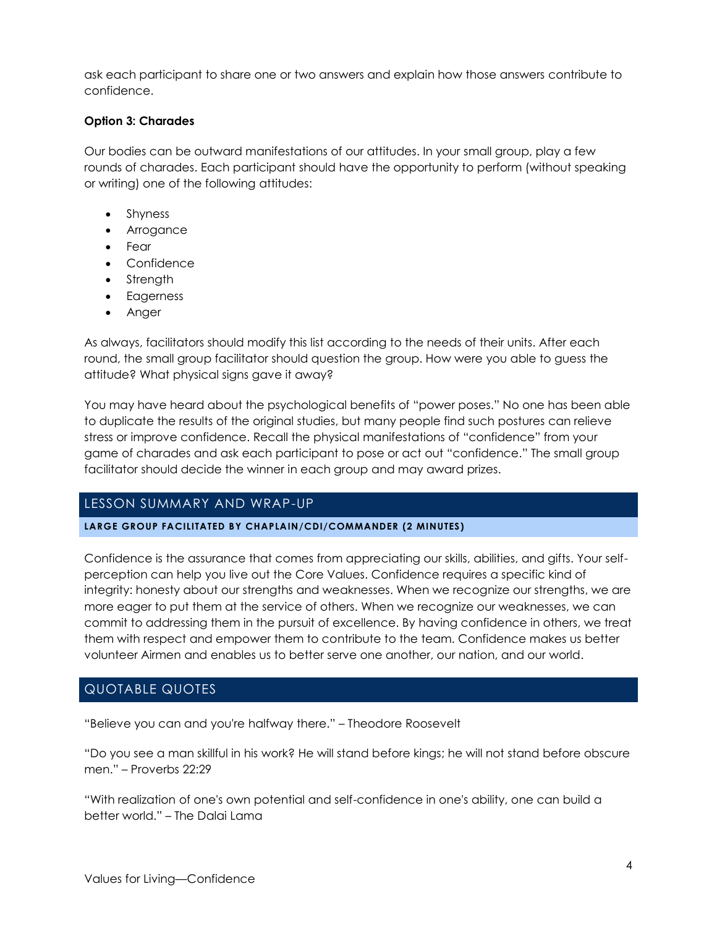ask each participant to share one or two answers and explain how those answers contribute to confidence.

#### **Option 3: Charades**

Our bodies can be outward manifestations of our attitudes. In your small group, play a few rounds of charades. Each participant should have the opportunity to perform (without speaking or writing) one of the following attitudes:

- Shyness
- Arrogance
- Fear
- Confidence
- Strength
- Eagerness
- Anger

As always, facilitators should modify this list according to the needs of their units. After each round, the small group facilitator should question the group. How were you able to guess the attitude? What physical signs gave it away?

You may have heard about the psychological benefits of "power poses." No one has been able to duplicate the results of the original studies, but many people find such postures can relieve stress or improve confidence. Recall the physical manifestations of "confidence" from your game of charades and ask each participant to pose or act out "confidence." The small group facilitator should decide the winner in each group and may award prizes.

## LESSON SUMMARY AND WRAP-UP

#### **LARGE GROUP FACILITATED BY CHAPLAIN/CDI/COMMANDER (2 MINUTES)**

Confidence is the assurance that comes from appreciating our skills, abilities, and gifts. Your selfperception can help you live out the Core Values. Confidence requires a specific kind of integrity: honesty about our strengths and weaknesses. When we recognize our strengths, we are more eager to put them at the service of others. When we recognize our weaknesses, we can commit to addressing them in the pursuit of excellence. By having confidence in others, we treat them with respect and empower them to contribute to the team. Confidence makes us better volunteer Airmen and enables us to better serve one another, our nation, and our world.

# QUOTABLE QUOTES

"Believe you can and you're halfway there." – Theodore Roosevelt

"Do you see a man skillful in his work? He will stand before kings; he will not stand before obscure men." – Proverbs 22:29

"With realization of one's own potential and self-confidence in one's ability, one can build a better world." – The Dalai Lama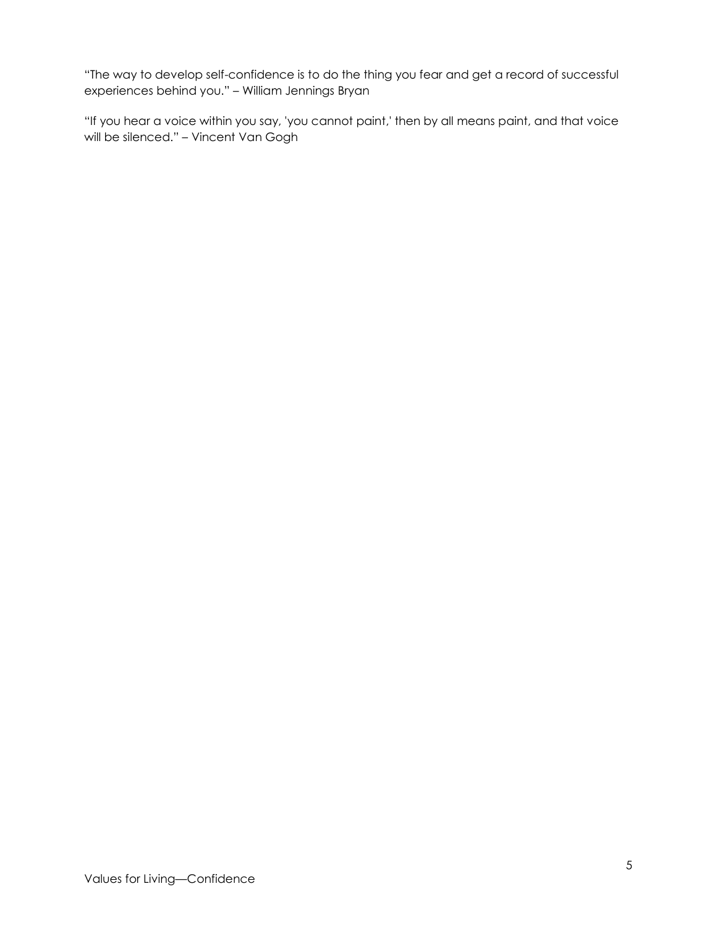"The way to develop self-confidence is to do the thing you fear and get a record of successful experiences behind you." – William Jennings Bryan

"If you hear a voice within you say, 'you cannot paint,' then by all means paint, and that voice will be silenced." – Vincent Van Gogh